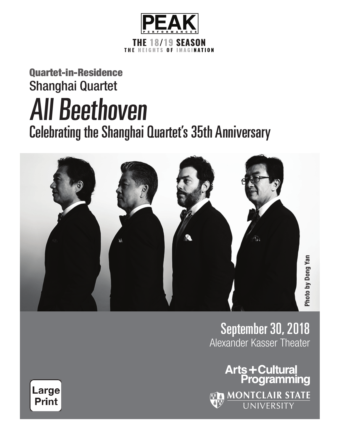

## Quartet-in-Residence Shanghai Quartet All Beethoven Celebrating the Shanghai Quartet's 35th Anniversary



September 30, 2018 Alexander Kasser Theater

**Arts+Cultural**<br>Programming **EN MONTCLAIR STATE** 

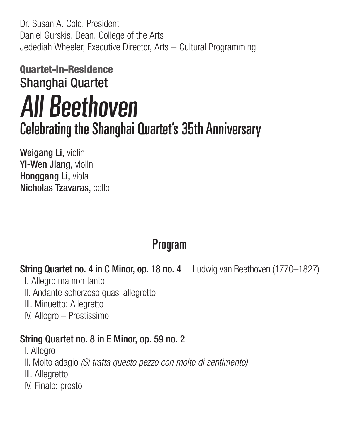Dr. Susan A. Cole, President Daniel Gurskis, Dean, College of the Arts Jedediah Wheeler, Executive Director, Arts + Cultural Programming

## Quartet-in-Residence Shanghai Quartet All Beethoven Celebrating the Shanghai Quartet's 35th Anniversary

Weigang Li, violin Yi-Wen Jiang, violin Honggang Li, viola Nicholas Tzavaras, cello

### Program

#### String Quartet no. 4 in C Minor, op. 18 no. 4 Ludwig van Beethoven (1770–1827)

- I. Allegro ma non tanto
- II. Andante scherzoso quasi allegretto
- III. Minuetto: Allegretto
- IV. Allegro Prestissimo

#### String Quartet no. 8 in E Minor, op. 59 no. 2

- I. Allegro
- II. Molto adagio (Si tratta questo pezzo con molto di sentimento)
- III. Allegretto
- IV. Finale: presto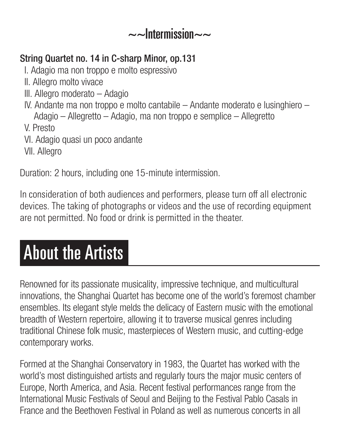#### $\sim$ -Intermission $\sim$

#### String Quartet no. 14 in C-sharp Minor, op.131

- I. Adagio ma non troppo e molto espressivo
- II. Allegro molto vivace
- III. Allegro moderato Adagio
- IV. Andante ma non troppo e molto cantabile Andante moderato e lusinghiero Adagio – Allegretto – Adagio, ma non troppo e semplice – Allegretto
- V. Presto
- VI. Adagio quasi un poco andante
- VII. Allegro

Duration: 2 hours, including one 15-minute intermission.

In consideration of both audiences and performers, please turn off all electronic devices. The taking of photographs or videos and the use of recording equipment are not permitted. No food or drink is permitted in the theater.

# About the Artists

Renowned for its passionate musicality, impressive technique, and multicultural innovations, the Shanghai Quartet has become one of the world's foremost chamber ensembles. Its elegant style melds the delicacy of Eastern music with the emotional breadth of Western repertoire, allowing it to traverse musical genres including traditional Chinese folk music, masterpieces of Western music, and cutting-edge contemporary works.

Formed at the Shanghai Conservatory in 1983, the Quartet has worked with the world's most distinguished artists and regularly tours the major music centers of Europe, North America, and Asia. Recent festival performances range from the International Music Festivals of Seoul and Beijing to the Festival Pablo Casals in France and the Beethoven Festival in Poland as well as numerous concerts in all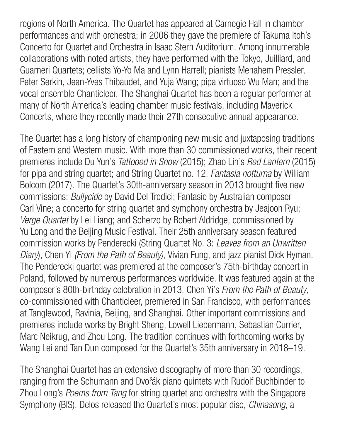regions of North America. The Quartet has appeared at Carnegie Hall in chamber performances and with orchestra; in 2006 they gave the premiere of Takuma Itoh's Concerto for Quartet and Orchestra in Isaac Stern Auditorium. Among innumerable collaborations with noted artists, they have performed with the Tokyo, Juilliard, and Guarneri Quartets; cellists Yo-Yo Ma and Lynn Harrell; pianists Menahem Pressler, Peter Serkin, Jean-Yves Thibaudet, and Yuja Wang; pipa virtuoso Wu Man; and the vocal ensemble Chanticleer. The Shanghai Quartet has been a regular performer at many of North America's leading chamber music festivals, including Maverick Concerts, where they recently made their 27th consecutive annual appearance.

The Quartet has a long history of championing new music and juxtaposing traditions of Eastern and Western music. With more than 30 commissioned works, their recent premieres include Du Yun's Tattooed in Snow (2015); Zhao Lin's Red Lantern (2015) for pipa and string quartet; and String Quartet no. 12, Fantasia notturna by William Bolcom (2017). The Quartet's 30th-anniversary season in 2013 brought five new commissions: Bullycide by David Del Tredici; Fantasie by Australian composer Carl Vine; a concerto for string quartet and symphony orchestra by Jeajoon Ryu; Verge Quartet by Lei Liang; and Scherzo by Robert Aldridge, commissioned by Yu Long and the Beijing Music Festival. Their 25th anniversary season featured commission works by Penderecki (String Quartet No. 3: Leaves from an Unwritten Diary), Chen Yi (From the Path of Beauty), Vivian Fung, and jazz pianist Dick Hyman. The Penderecki quartet was premiered at the composer's 75th-birthday concert in Poland, followed by numerous performances worldwide. It was featured again at the composer's 80th-birthday celebration in 2013. Chen Yi's From the Path of Beauty, co-commissioned with Chanticleer, premiered in San Francisco, with performances at Tanglewood, Ravinia, Beijing, and Shanghai. Other important commissions and premieres include works by Bright Sheng, Lowell Liebermann, Sebastian Currier, Marc Neikrug, and Zhou Long. The tradition continues with forthcoming works by Wang Lei and Tan Dun composed for the Quartet's 35th anniversary in 2018–19.

The Shanghai Quartet has an extensive discography of more than 30 recordings, ranging from the Schumann and Dvořák piano quintets with Rudolf Buchbinder to Zhou Long's Poems from Tang for string quartet and orchestra with the Singapore Symphony (BIS). Delos released the Quartet's most popular disc, Chinasong, a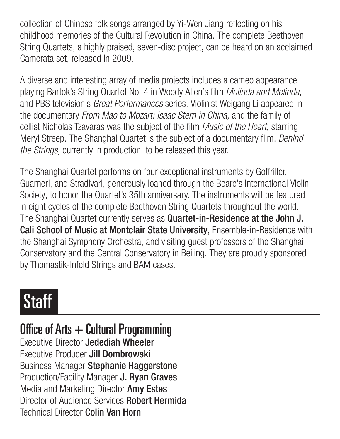collection of Chinese folk songs arranged by Yi-Wen Jiang reflecting on his childhood memories of the Cultural Revolution in China. The complete Beethoven String Quartets, a highly praised, seven-disc project, can be heard on an acclaimed Camerata set, released in 2009.

A diverse and interesting array of media projects includes a cameo appearance playing Bartók's String Quartet No. 4 in Woody Allen's film Melinda and Melinda, and PBS television's Great Performances series. Violinist Weigang Li appeared in the documentary From Mao to Mozart: Isaac Stern in China, and the family of cellist Nicholas Tzavaras was the subject of the film Music of the Heart, starring Meryl Streep. The Shanghai Quartet is the subject of a documentary film, Behind the Strings, currently in production, to be released this year.

The Shanghai Quartet performs on four exceptional instruments by Gofriller, Guarneri, and Stradivari, generously loaned through the Beare's International Violin Society, to honor the Quartet's 35th anniversary. The instruments will be featured in eight cycles of the complete Beethoven String Quartets throughout the world. The Shanghai Quartet currently serves as **Quartet-in-Residence at the John J.** Cali School of Music at Montclair State University, Ensemble-in-Residence with the Shanghai Symphony Orchestra, and visiting guest professors of the Shanghai Conservatory and the Central Conservatory in Beijing. They are proudly sponsored by Thomastik-Infeld Strings and BAM cases.

# **Staff**

Office of Arts  $+$  Cultural Programming Executive Director Jedediah Wheeler Executive Producer Jill Dombrowski Business Manager Stephanie Haggerstone Production/Facility Manager J. Ryan Graves Media and Marketing Director Amy Estes Director of Audience Services Robert Hermida Technical Director Colin Van Horn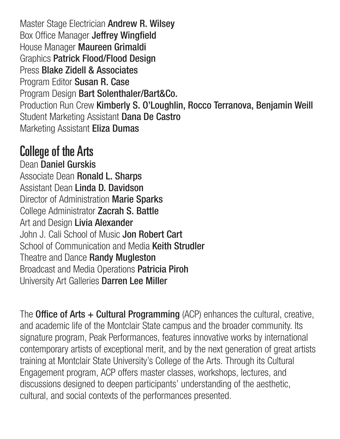Master Stage Electrician Andrew R. Wilsey Box Office Manager Jeffrey Wingfield House Manager Maureen Grimaldi Graphics Patrick Flood/Flood Design Press Blake Zidell & Associates Program Editor Susan R. Case Program Design Bart Solenthaler/Bart&Co. Production Run Crew Kimberly S. O'Loughlin, Rocco Terranova, Benjamin Weill Student Marketing Assistant Dana De Castro Marketing Assistant Eliza Dumas

### College of the Arts

Dean Daniel Gurskis Associate Dean Ronald L. Sharps Assistant Dean Linda D. Davidson Director of Administration Marie Sparks College Administrator Zacrah S. Battle Art and Design Livia Alexander John J. Cali School of Music Jon Robert Cart School of Communication and Media Keith Strudler Theatre and Dance Randy Mugleston Broadcast and Media Operations Patricia Piroh University Art Galleries Darren Lee Miller

The **Office of Arts + Cultural Programming** (ACP) enhances the cultural, creative, and academic life of the Montclair State campus and the broader community. Its signature program, Peak Performances, features innovative works by international contemporary artists of exceptional merit, and by the next generation of great artists training at Montclair State University's College of the Arts. Through its Cultural Engagement program, ACP offers master classes, workshops, lectures, and discussions designed to deepen participants' understanding of the aesthetic, cultural, and social contexts of the performances presented.